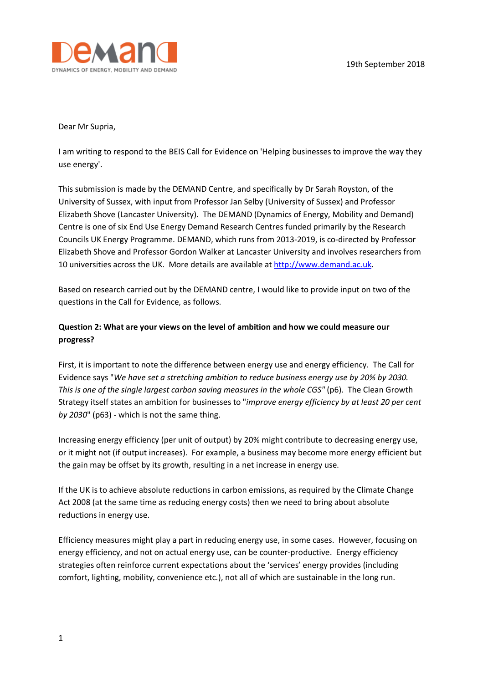

Dear Mr Supria,

I am writing to respond to the BEIS Call for Evidence on 'Helping businesses to improve the way they use energy'.

This submission is made by the DEMAND Centre, and specifically by Dr Sarah Royston, of the University of Sussex, with input from Professor Jan Selby (University of Sussex) and Professor Elizabeth Shove (Lancaster University). The DEMAND (Dynamics of Energy, Mobility and Demand) Centre is one of six End Use Energy Demand Research Centres funded primarily by the Research Councils UK Energy Programme. DEMAND, which runs from 2013-2019, is co-directed by Professor Elizabeth Shove and Professor Gordon Walker at Lancaster University and involves researchers from 10 universities across the UK. More details are available at http://www.demand.ac.uk*.*

Based on research carried out by the DEMAND centre, I would like to provide input on two of the questions in the Call for Evidence, as follows.

## **Question 2: What are your views on the level of ambition and how we could measure our progress?**

First, it is important to note the difference between energy use and energy efficiency. The Call for Evidence says "*We have set a stretching ambition to reduce business energy use by 20% by 2030. This is one of the single largest carbon saving measures in the whole CGS" (p6). The Clean Growth* Strategy itself states an ambition for businesses to "*improve energy efficiency by at least 20 per cent by 2030*" (p63) - which is not the same thing.

Increasing energy efficiency (per unit of output) by 20% might contribute to decreasing energy use, or it might not (if output increases). For example, a business may become more energy efficient but the gain may be offset by its growth, resulting in a net increase in energy use.

If the UK is to achieve absolute reductions in carbon emissions, as required by the Climate Change Act 2008 (at the same time as reducing energy costs) then we need to bring about absolute reductions in energy use.

Efficiency measures might play a part in reducing energy use, in some cases. However, focusing on energy efficiency, and not on actual energy use, can be counter-productive. Energy efficiency strategies often reinforce current expectations about the 'services' energy provides (including comfort, lighting, mobility, convenience etc.), not all of which are sustainable in the long run.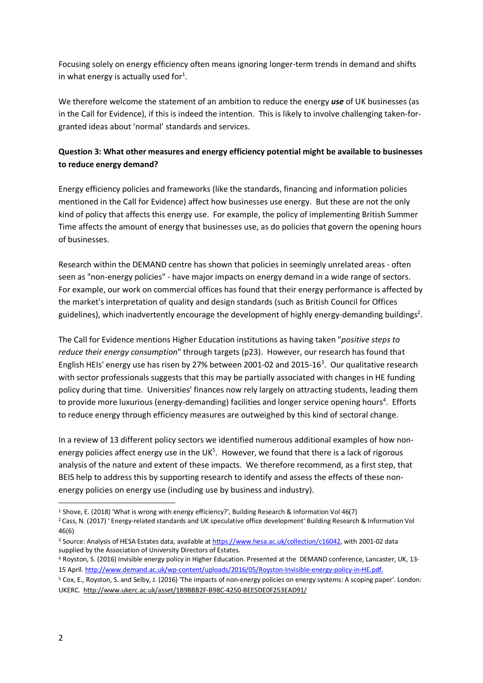Focusing solely on energy efficiency often means ignoring longer-term trends in demand and shifts in what energy is actually used for<sup>1</sup>.

We therefore welcome the statement of an ambition to reduce the energy *use* of UK businesses (as in the Call for Evidence), if this is indeed the intention. This is likely to involve challenging taken-forgranted ideas about 'normal' standards and services.

## **Question 3: What other measures and energy efficiency potential might be available to businesses to reduce energy demand?**

Energy efficiency policies and frameworks (like the standards, financing and information policies mentioned in the Call for Evidence) affect how businesses use energy. But these are not the only kind of policy that affects this energy use. For example, the policy of implementing British Summer Time affects the amount of energy that businesses use, as do policies that govern the opening hours of businesses.

Research within the DEMAND centre has shown that policies in seemingly unrelated areas - often seen as "non-energy policies" - have major impacts on energy demand in a wide range of sectors. For example, our work on commercial offices has found that their energy performance is affected by the market's interpretation of quality and design standards (such as British Council for Offices guidelines), which inadvertently encourage the development of highly energy-demanding buildings<sup>2</sup>.

The Call for Evidence mentions Higher Education institutions as having taken "*positive steps to reduce their energy consumption*" through targets (p23). However, our research has found that English HEIs' energy use has risen by 27% between 2001-02 and 2015-16<sup>3</sup>. Our qualitative research with sector professionals suggests that this may be partially associated with changes in HE funding policy during that time. Universities' finances now rely largely on attracting students, leading them to provide more luxurious (energy-demanding) facilities and longer service opening hours<sup>4</sup>. Efforts to reduce energy through efficiency measures are outweighed by this kind of sectoral change.

In a review of 13 different policy sectors we identified numerous additional examples of how nonenergy policies affect energy use in the UK<sup>5</sup>. However, we found that there is a lack of rigorous analysis of the nature and extent of these impacts. We therefore recommend, as a first step, that BEIS help to address this by supporting research to identify and assess the effects of these nonenergy policies on energy use (including use by business and industry).

 <sup>1</sup> Shove, E. (2018) 'What is wrong with energy efficiency?', Building Research & Information Vol 46(7)

<sup>2</sup> Cass, N. (2017) ' Energy-related standards and UK speculative office development' Building Research & Information Vol 46(6)

<sup>&</sup>lt;sup>3</sup> Source: Analysis of HESA Estates data, available at https://www.hesa.ac.uk/collection/c16042, with 2001-02 data supplied by the Association of University Directors of Estates.

<sup>4</sup> Royston, S. (2016) Invisible energy policy in Higher Education. Presented at the DEMAND conference, Lancaster, UK, 13- 15 April. http://www.demand.ac.uk/wp-content/uploads/2016/05/Royston-Invisible-energy-policy-in-HE.pdf.

<sup>5</sup> Cox, E., Royston, S. and Selby, J. (2016) 'The impacts of non-energy policies on energy systems: A scoping paper'. London: UKERC. http://www.ukerc.ac.uk/asset/1B9BBB2F-B98C-4250-BEE5DE0F253EAD91/